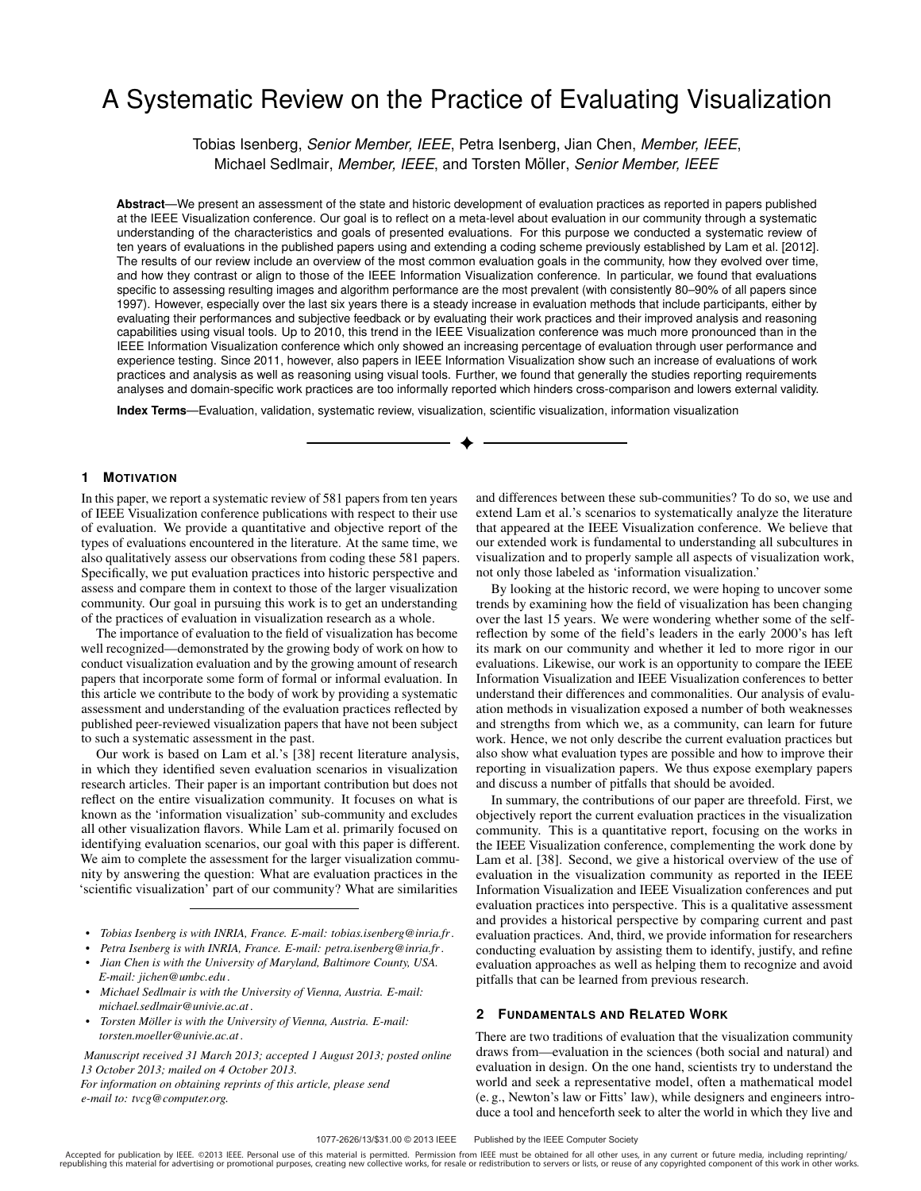# A Systematic Review on the Practice of Evaluating Visualization

[Tobias Isenberg,](http://tobias.isenberg.cc/) *Senior Member, IEEE*, [Petra Isenberg,](http://petra.isenberg.cc/) [Jian Chen,](http://www.csee.umbc.edu/~jichen/) *Member, IEEE*, [Michael Sedlmair,](http://homepage.univie.ac.at/michael.sedlmair/) Member, IEEE, and Torsten Möller, Senior Member, IEEE

**Abstract**—We present an assessment of the state and historic development of evaluation practices as reported in papers published at the IEEE Visualization conference. Our goal is to reflect on a meta-level about evaluation in our community through a systematic understanding of the characteristics and goals of presented evaluations. For this purpose we conducted a systematic review of ten years of evaluations in the published papers using and extending a coding scheme previously established by Lam et al. [2012]. The results of our review include an overview of the most common evaluation goals in the community, how they evolved over time, and how they contrast or align to those of the IEEE Information Visualization conference. In particular, we found that evaluations specific to assessing resulting images and algorithm performance are the most prevalent (with consistently 80–90% of all papers since 1997). However, especially over the last six years there is a steady increase in evaluation methods that include participants, either by evaluating their performances and subjective feedback or by evaluating their work practices and their improved analysis and reasoning capabilities using visual tools. Up to 2010, this trend in the IEEE Visualization conference was much more pronounced than in the IEEE Information Visualization conference which only showed an increasing percentage of evaluation through user performance and experience testing. Since 2011, however, also papers in IEEE Information Visualization show such an increase of evaluations of work practices and analysis as well as reasoning using visual tools. Further, we found that generally the studies reporting requirements analyses and domain-specific work practices are too informally reported which hinders cross-comparison and lowers external validity.

**Index Terms**—Evaluation, validation, systematic review, visualization, scientific visualization, information visualization

#### **1 MOTIVATION**

In this paper, we report a systematic review of 581 papers from ten years of IEEE Visualization conference publications with respect to their use of evaluation. We provide a quantitative and objective report of the types of evaluations encountered in the literature. At the same time, we also qualitatively assess our observations from coding these 581 papers. Specifically, we put evaluation practices into historic perspective and assess and compare them in context to those of the larger visualization community. Our goal in pursuing this work is to get an understanding of the practices of evaluation in visualization research as a whole.

The importance of evaluation to the field of visualization has become well recognized—demonstrated by the growing body of work on how to conduct visualization evaluation and by the growing amount of research papers that incorporate some form of formal or informal evaluation. In this article we contribute to the body of work by providing a systematic assessment and understanding of the evaluation practices reflected by published peer-reviewed visualization papers that have not been subject to such a systematic assessment in the past.

Our work is based on Lam et al.'s [\[38\]](#page-9-0) recent literature analysis, in which they identified seven evaluation scenarios in visualization research articles. Their paper is an important contribution but does not reflect on the entire visualization community. It focuses on what is known as the 'information visualization' sub-community and excludes all other visualization flavors. While Lam et al. primarily focused on identifying evaluation scenarios, our goal with this paper is different. We aim to complete the assessment for the larger visualization community by answering the question: What are evaluation practices in the 'scientific visualization' part of our community? What are similarities

- *Tobias Isenberg is with INRIA, France. E-mail: tobias.isenberg@inria.fr .*
- *Petra Isenberg is with INRIA, France. E-mail: petra.isenberg@inria.fr .*
- *Jian Chen is with the University of Maryland, Baltimore County, USA. E-mail: jichen@umbc.edu .*
- *Michael Sedlmair is with the University of Vienna, Austria. E-mail: michael.sedlmair@univie.ac.at .*
- *Torsten Moller is with the University of Vienna, Austria. E-mail: ¨ torsten.moeller@univie.ac.at .*

*Manuscript received 31 March 2013; accepted 1 August 2013; posted online 13 October 2013; mailed on 4 October 2013.*

*For information on obtaining reprints of this article, please send e-mail to: tvcg@computer.org.*

and differences between these sub-communities? To do so, we use and extend Lam et al.'s scenarios to systematically analyze the literature that appeared at the IEEE Visualization conference. We believe that our extended work is fundamental to understanding all subcultures in visualization and to properly sample all aspects of visualization work, not only those labeled as 'information visualization.'

By looking at the historic record, we were hoping to uncover some trends by examining how the field of visualization has been changing over the last 15 years. We were wondering whether some of the selfreflection by some of the field's leaders in the early 2000's has left its mark on our community and whether it led to more rigor in our evaluations. Likewise, our work is an opportunity to compare the IEEE Information Visualization and IEEE Visualization conferences to better understand their differences and commonalities. Our analysis of evaluation methods in visualization exposed a number of both weaknesses and strengths from which we, as a community, can learn for future work. Hence, we not only describe the current evaluation practices but also show what evaluation types are possible and how to improve their reporting in visualization papers. We thus expose exemplary papers and discuss a number of pitfalls that should be avoided.

In summary, the contributions of our paper are threefold. First, we objectively report the current evaluation practices in the visualization community. This is a quantitative report, focusing on the works in the IEEE Visualization conference, complementing the work done by Lam et al. [\[38\]](#page-9-0). Second, we give a historical overview of the use of evaluation in the visualization community as reported in the IEEE Information Visualization and IEEE Visualization conferences and put evaluation practices into perspective. This is a qualitative assessment and provides a historical perspective by comparing current and past evaluation practices. And, third, we provide information for researchers conducting evaluation by assisting them to identify, justify, and refine evaluation approaches as well as helping them to recognize and avoid pitfalls that can be learned from previous research.

#### **2 FUNDAMENTALS AND RELATED WORK**

There are two traditions of evaluation that the visualization community draws from—evaluation in the sciences (both social and natural) and evaluation in design. On the one hand, scientists try to understand the world and seek a representative model, often a mathematical model (e. g., Newton's law or Fitts' law), while designers and engineers introduce a tool and henceforth seek to alter the world in which they live and

1077-2626/13/\$31.00 © 2013 IEEE Published by the IEEE Computer Society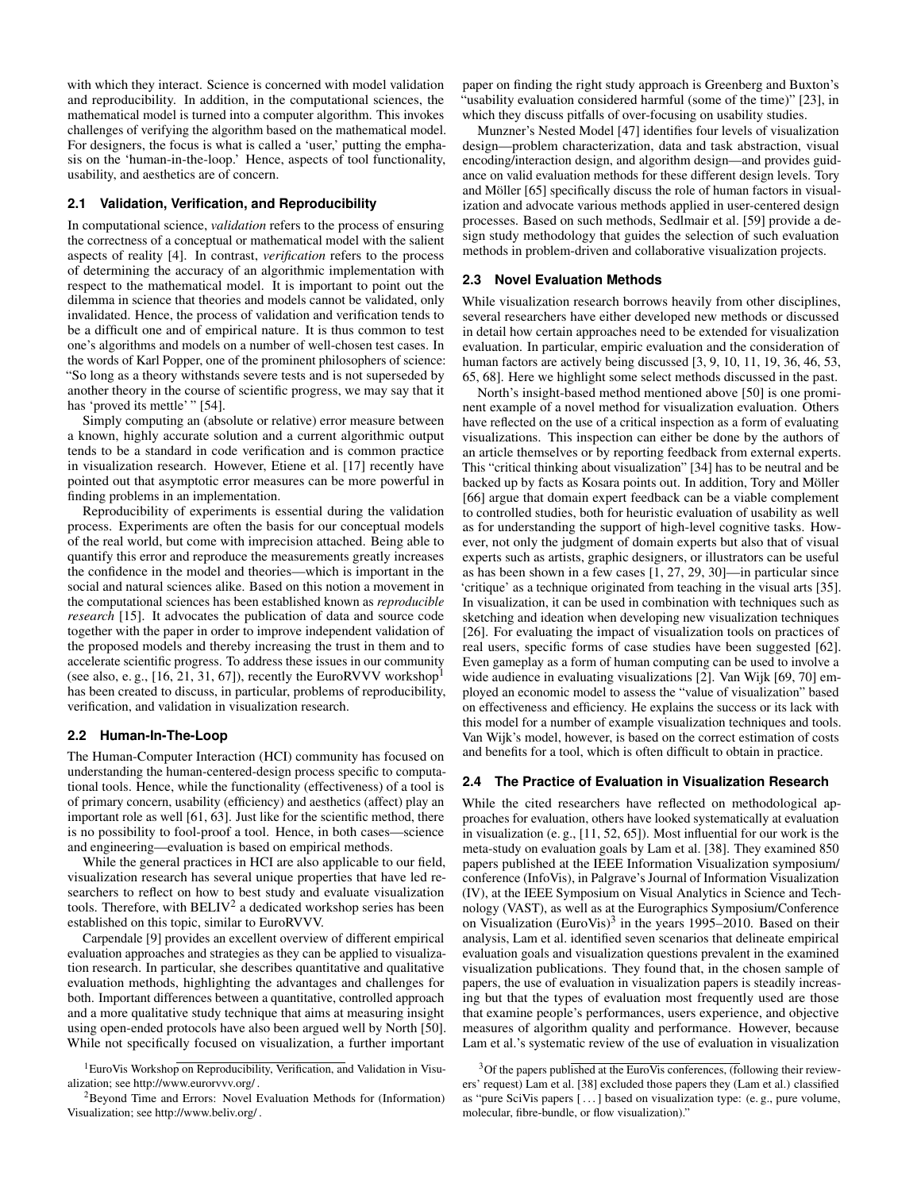with which they interact. Science is concerned with model validation and reproducibility. In addition, in the computational sciences, the mathematical model is turned into a computer algorithm. This invokes challenges of verifying the algorithm based on the mathematical model. For designers, the focus is what is called a 'user,' putting the emphasis on the 'human-in-the-loop.' Hence, aspects of tool functionality, usability, and aesthetics are of concern.

## **2.1 Validation, Verification, and Reproducibility**

In computational science, *validation* refers to the process of ensuring the correctness of a conceptual or mathematical model with the salient aspects of reality [\[4\]](#page-8-0). In contrast, *verification* refers to the process of determining the accuracy of an algorithmic implementation with respect to the mathematical model. It is important to point out the dilemma in science that theories and models cannot be validated, only invalidated. Hence, the process of validation and verification tends to be a difficult one and of empirical nature. It is thus common to test one's algorithms and models on a number of well-chosen test cases. In the words of Karl Popper, one of the prominent philosophers of science: "So long as a theory withstands severe tests and is not superseded by another theory in the course of scientific progress, we may say that it has 'proved its mettle' " [\[54\]](#page-9-1).

Simply computing an (absolute or relative) error measure between a known, highly accurate solution and a current algorithmic output tends to be a standard in code verification and is common practice in visualization research. However, Etiene et al. [\[17\]](#page-8-1) recently have pointed out that asymptotic error measures can be more powerful in finding problems in an implementation.

Reproducibility of experiments is essential during the validation process. Experiments are often the basis for our conceptual models of the real world, but come with imprecision attached. Being able to quantify this error and reproduce the measurements greatly increases the confidence in the model and theories—which is important in the social and natural sciences alike. Based on this notion a movement in the computational sciences has been established known as *reproducible research* [\[15\]](#page-8-2). It advocates the publication of data and source code together with the paper in order to improve independent validation of the proposed models and thereby increasing the trust in them and to accelerate scientific progress. To address these issues in our community (see also, e. g.,  $[16, 21, 31, 67]$  $[16, 21, 31, 67]$  $[16, 21, 31, 67]$  $[16, 21, 31, 67]$  $[16, 21, 31, 67]$  $[16, 21, 31, 67]$  $[16, 21, 31, 67]$ ), recently the EuroRVVV workshop has been created to discuss, in particular, problems of reproducibility, verification, and validation in visualization research.

#### **2.2 Human-In-The-Loop**

The Human-Computer Interaction (HCI) community has focused on understanding the human-centered-design process specific to computational tools. Hence, while the functionality (effectiveness) of a tool is of primary concern, usability (efficiency) and aesthetics (affect) play an important role as well [\[61,](#page-9-4) [63\]](#page-9-5). Just like for the scientific method, there is no possibility to fool-proof a tool. Hence, in both cases—science and engineering—evaluation is based on empirical methods.

While the general practices in HCI are also applicable to our field, visualization research has several unique properties that have led researchers to reflect on how to best study and evaluate visualization tools. Therefore, with  $BELIV<sup>2</sup>$  $BELIV<sup>2</sup>$  $BELIV<sup>2</sup>$  a dedicated workshop series has been established on this topic, similar to EuroRVVV.

Carpendale [\[9\]](#page-8-5) provides an excellent overview of different empirical evaluation approaches and strategies as they can be applied to visualization research. In particular, she describes quantitative and qualitative evaluation methods, highlighting the advantages and challenges for both. Important differences between a quantitative, controlled approach and a more qualitative study technique that aims at measuring insight using open-ended protocols have also been argued well by North [\[50\]](#page-9-6). While not specifically focused on visualization, a further important

paper on finding the right study approach is Greenberg and Buxton's "usability evaluation considered harmful (some of the time)" [\[23\]](#page-8-6), in which they discuss pitfalls of over-focusing on usability studies.

Munzner's Nested Model [\[47\]](#page-9-7) identifies four levels of visualization design—problem characterization, data and task abstraction, visual encoding/interaction design, and algorithm design—and provides guidance on valid evaluation methods for these different design levels. Tory and Möller [[65\]](#page-9-8) specifically discuss the role of human factors in visualization and advocate various methods applied in user-centered design processes. Based on such methods, Sedlmair et al. [\[59\]](#page-9-9) provide a design study methodology that guides the selection of such evaluation methods in problem-driven and collaborative visualization projects.

#### **2.3 Novel Evaluation Methods**

While visualization research borrows heavily from other disciplines, several researchers have either developed new methods or discussed in detail how certain approaches need to be extended for visualization evaluation. In particular, empiric evaluation and the consideration of human factors are actively being discussed [\[3,](#page-8-7) [9,](#page-8-5) [10,](#page-8-8) [11,](#page-8-9) [19,](#page-8-10) [36,](#page-9-10) [46,](#page-9-11) [53,](#page-9-12) [65,](#page-9-8) [68\]](#page-9-13). Here we highlight some select methods discussed in the past.

North's insight-based method mentioned above [\[50\]](#page-9-6) is one prominent example of a novel method for visualization evaluation. Others have reflected on the use of a critical inspection as a form of evaluating visualizations. This inspection can either be done by the authors of an article themselves or by reporting feedback from external experts. This "critical thinking about visualization" [\[34\]](#page-9-14) has to be neutral and be backed up by facts as Kosara points out. In addition, Tory and Möller [\[66\]](#page-9-15) argue that domain expert feedback can be a viable complement to controlled studies, both for heuristic evaluation of usability as well as for understanding the support of high-level cognitive tasks. However, not only the judgment of domain experts but also that of visual experts such as artists, graphic designers, or illustrators can be useful as has been shown in a few cases [\[1,](#page-8-11) [27,](#page-8-12) [29,](#page-9-16) [30\]](#page-9-17)—in particular since 'critique' as a technique originated from teaching in the visual arts [\[35\]](#page-9-18). In visualization, it can be used in combination with techniques such as sketching and ideation when developing new visualization techniques [\[26\]](#page-8-13). For evaluating the impact of visualization tools on practices of real users, specific forms of case studies have been suggested [\[62\]](#page-9-19). Even gameplay as a form of human computing can be used to involve a wide audience in evaluating visualizations [\[2\]](#page-8-14). Van Wijk [\[69,](#page-9-20) [70\]](#page-9-21) employed an economic model to assess the "value of visualization" based on effectiveness and efficiency. He explains the success or its lack with this model for a number of example visualization techniques and tools. Van Wijk's model, however, is based on the correct estimation of costs and benefits for a tool, which is often difficult to obtain in practice.

## **2.4 The Practice of Evaluation in Visualization Research**

While the cited researchers have reflected on methodological approaches for evaluation, others have looked systematically at evaluation in visualization (e. g., [\[11,](#page-8-9) [52,](#page-9-22) [65\]](#page-9-8)). Most influential for our work is the meta-study on evaluation goals by Lam et al. [\[38\]](#page-9-0). They examined 850 papers published at the IEEE Information Visualization symposium/ conference (InfoVis), in Palgrave's Journal of Information Visualization (IV), at the IEEE Symposium on Visual Analytics in Science and Technology (VAST), as well as at the Eurographics Symposium/Conference on Visualization (EuroVis)<sup>[3](#page-1-2)</sup> in the years 1995–2010. Based on their analysis, Lam et al. identified seven scenarios that delineate empirical evaluation goals and visualization questions prevalent in the examined visualization publications. They found that, in the chosen sample of papers, the use of evaluation in visualization papers is steadily increasing but that the types of evaluation most frequently used are those that examine people's performances, users experience, and objective measures of algorithm quality and performance. However, because Lam et al.'s systematic review of the use of evaluation in visualization

<span id="page-1-0"></span><sup>&</sup>lt;sup>1</sup>EuroVis Workshop on Reproducibility, Verification, and Validation in Visualization; see [http://www.eurorvvv.org/ .](http://www.eurorvvv.org/)

<span id="page-1-1"></span><sup>2</sup>Beyond Time and Errors: Novel Evaluation Methods for (Information) Visualization; see<http://www.beliv.org/> .

<span id="page-1-2"></span><sup>&</sup>lt;sup>3</sup>Of the papers published at the EuroVis conferences, (following their reviewers' request) Lam et al. [\[38\]](#page-9-0) excluded those papers they (Lam et al.) classified as "pure SciVis papers [ . . . ] based on visualization type: (e. g., pure volume, molecular, fibre-bundle, or flow visualization)."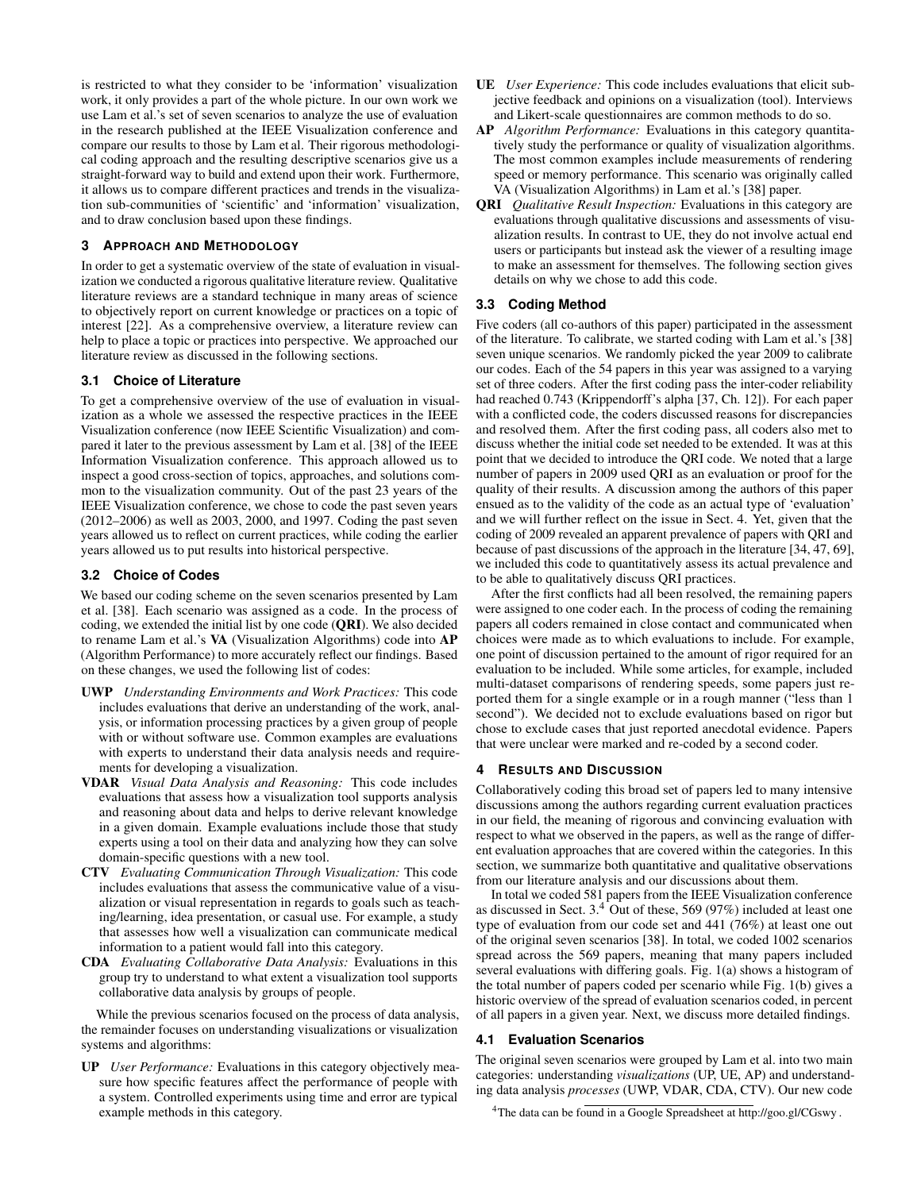is restricted to what they consider to be 'information' visualization work, it only provides a part of the whole picture. In our own work we use Lam et al.'s set of seven scenarios to analyze the use of evaluation in the research published at the IEEE Visualization conference and compare our results to those by Lam et al. Their rigorous methodological coding approach and the resulting descriptive scenarios give us a straight-forward way to build and extend upon their work. Furthermore, it allows us to compare different practices and trends in the visualization sub-communities of 'scientific' and 'information' visualization, and to draw conclusion based upon these findings.

# <span id="page-2-1"></span>**3 APPROACH AND METHODOLOGY**

In order to get a systematic overview of the state of evaluation in visualization we conducted a rigorous qualitative literature review. Qualitative literature reviews are a standard technique in many areas of science to objectively report on current knowledge or practices on a topic of interest [\[22\]](#page-8-15). As a comprehensive overview, a literature review can help to place a topic or practices into perspective. We approached our literature review as discussed in the following sections.

## **3.1 Choice of Literature**

To get a comprehensive overview of the use of evaluation in visualization as a whole we assessed the respective practices in the IEEE Visualization conference (now IEEE Scientific Visualization) and compared it later to the previous assessment by Lam et al. [\[38\]](#page-9-0) of the IEEE Information Visualization conference. This approach allowed us to inspect a good cross-section of topics, approaches, and solutions common to the visualization community. Out of the past 23 years of the IEEE Visualization conference, we chose to code the past seven years (2012–2006) as well as 2003, 2000, and 1997. Coding the past seven years allowed us to reflect on current practices, while coding the earlier years allowed us to put results into historical perspective.

## **3.2 Choice of Codes**

We based our coding scheme on the seven scenarios presented by Lam et al. [\[38\]](#page-9-0). Each scenario was assigned as a code. In the process of coding, we extended the initial list by one code (QRI). We also decided to rename Lam et al.'s VA (Visualization Algorithms) code into AP (Algorithm Performance) to more accurately reflect our findings. Based on these changes, we used the following list of codes:

- UWP *Understanding Environments and Work Practices:* This code includes evaluations that derive an understanding of the work, analysis, or information processing practices by a given group of people with or without software use. Common examples are evaluations with experts to understand their data analysis needs and requirements for developing a visualization.
- VDAR *Visual Data Analysis and Reasoning:* This code includes evaluations that assess how a visualization tool supports analysis and reasoning about data and helps to derive relevant knowledge in a given domain. Example evaluations include those that study experts using a tool on their data and analyzing how they can solve domain-specific questions with a new tool.
- CTV *Evaluating Communication Through Visualization:* This code includes evaluations that assess the communicative value of a visualization or visual representation in regards to goals such as teaching/learning, idea presentation, or casual use. For example, a study that assesses how well a visualization can communicate medical information to a patient would fall into this category.
- CDA *Evaluating Collaborative Data Analysis:* Evaluations in this group try to understand to what extent a visualization tool supports collaborative data analysis by groups of people.

While the previous scenarios focused on the process of data analysis, the remainder focuses on understanding visualizations or visualization systems and algorithms:

UP *User Performance:* Evaluations in this category objectively measure how specific features affect the performance of people with a system. Controlled experiments using time and error are typical example methods in this category.

- UE *User Experience:* This code includes evaluations that elicit subjective feedback and opinions on a visualization (tool). Interviews and Likert-scale questionnaires are common methods to do so.
- AP *Algorithm Performance:* Evaluations in this category quantitatively study the performance or quality of visualization algorithms. The most common examples include measurements of rendering speed or memory performance. This scenario was originally called VA (Visualization Algorithms) in Lam et al.'s [\[38\]](#page-9-0) paper.
- QRI *Qualitative Result Inspection:* Evaluations in this category are evaluations through qualitative discussions and assessments of visualization results. In contrast to UE, they do not involve actual end users or participants but instead ask the viewer of a resulting image to make an assessment for themselves. The following section gives details on why we chose to add this code.

## **3.3 Coding Method**

Five coders (all co-authors of this paper) participated in the assessment of the literature. To calibrate, we started coding with Lam et al.'s [\[38\]](#page-9-0) seven unique scenarios. We randomly picked the year 2009 to calibrate our codes. Each of the 54 papers in this year was assigned to a varying set of three coders. After the first coding pass the inter-coder reliability had reached 0.743 (Krippendorff's alpha [\[37,](#page-9-23) Ch. 12]). For each paper with a conflicted code, the coders discussed reasons for discrepancies and resolved them. After the first coding pass, all coders also met to discuss whether the initial code set needed to be extended. It was at this point that we decided to introduce the QRI code. We noted that a large number of papers in 2009 used QRI as an evaluation or proof for the quality of their results. A discussion among the authors of this paper ensued as to the validity of the code as an actual type of 'evaluation' and we will further reflect on the issue in [Sect. 4.](#page-2-0) Yet, given that the coding of 2009 revealed an apparent prevalence of papers with QRI and because of past discussions of the approach in the literature [\[34,](#page-9-14) [47,](#page-9-7) [69\]](#page-9-20), we included this code to quantitatively assess its actual prevalence and to be able to qualitatively discuss QRI practices.

After the first conflicts had all been resolved, the remaining papers were assigned to one coder each. In the process of coding the remaining papers all coders remained in close contact and communicated when choices were made as to which evaluations to include. For example, one point of discussion pertained to the amount of rigor required for an evaluation to be included. While some articles, for example, included multi-dataset comparisons of rendering speeds, some papers just reported them for a single example or in a rough manner ("less than 1 second"). We decided not to exclude evaluations based on rigor but chose to exclude cases that just reported anecdotal evidence. Papers that were unclear were marked and re-coded by a second coder.

## <span id="page-2-0"></span>**4 RESULTS AND DISCUSSION**

Collaboratively coding this broad set of papers led to many intensive discussions among the authors regarding current evaluation practices in our field, the meaning of rigorous and convincing evaluation with respect to what we observed in the papers, as well as the range of different evaluation approaches that are covered within the categories. In this section, we summarize both quantitative and qualitative observations from our literature analysis and our discussions about them.

In total we coded 581 papers from the IEEE Visualization conference as discussed in Sect.  $3<sup>4</sup>$  $3<sup>4</sup>$  $3<sup>4</sup>$  Out of these, 569 (97%) included at least one type of evaluation from our code set and 441 (76%) at least one out of the original seven scenarios [\[38\]](#page-9-0). In total, we coded 1002 scenarios spread across the 569 papers, meaning that many papers included several evaluations with differing goals. [Fig. 1\(a\)](#page-3-0) shows a histogram of the total number of papers coded per scenario while [Fig. 1\(b\)](#page-3-1) gives a historic overview of the spread of evaluation scenarios coded, in percent of all papers in a given year. Next, we discuss more detailed findings.

# **4.1 Evaluation Scenarios**

The original seven scenarios were grouped by Lam et al. into two main categories: understanding *visualizations* (UP, UE, AP) and understanding data analysis *processes* (UWP, VDAR, CDA, CTV). Our new code

<span id="page-2-2"></span><sup>4</sup>The data can be found in a Google Spreadsheet at [http://goo.gl/CGswy .](http://goo.gl/CGswy)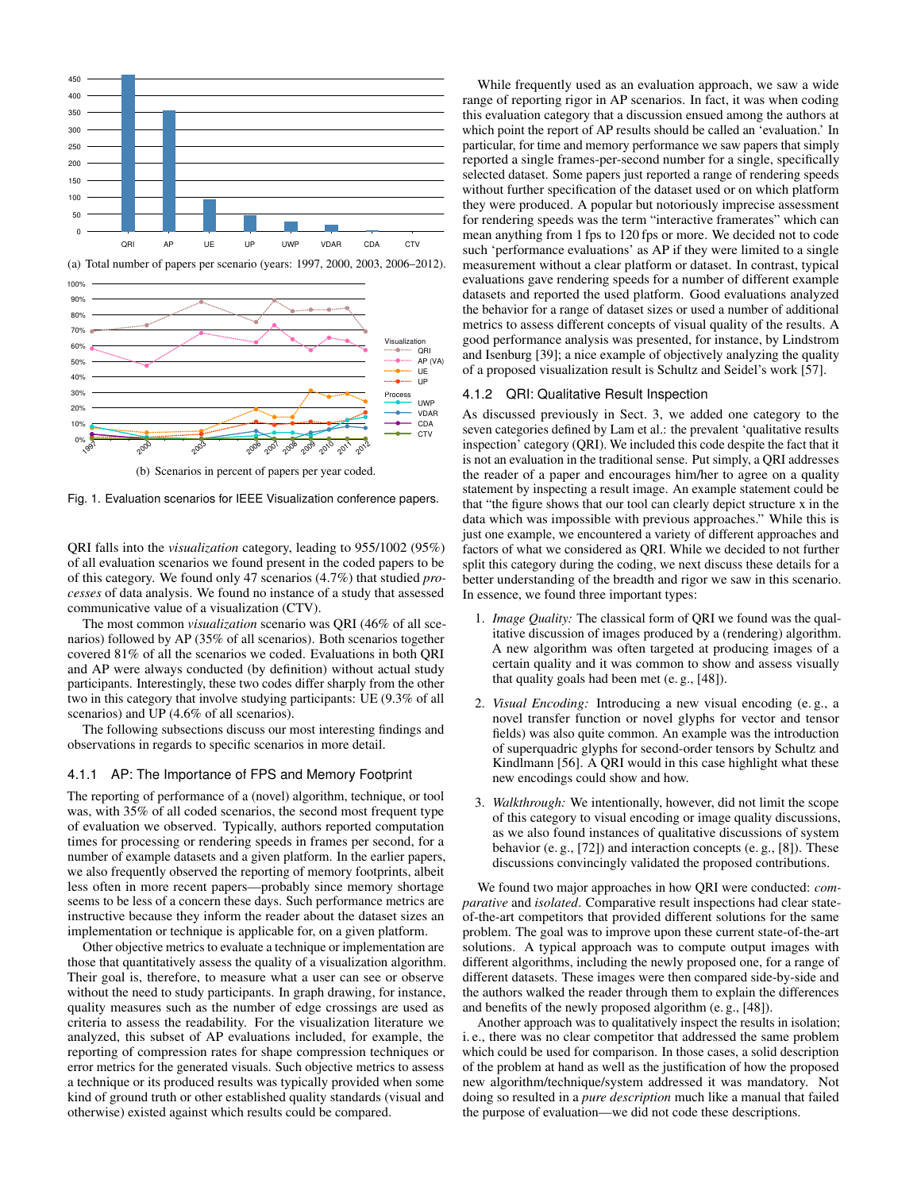<span id="page-3-0"></span>

<span id="page-3-1"></span>

(a) Total number of papers per scenario (years: 1997, 2000, 2003, 2006–2012).

Fig. 1. Evaluation scenarios for IEEE Visualization conference papers.

QRI falls into the *visualization* category, leading to 955/1002 (95%) of all evaluation scenarios we found present in the coded papers to be of this category. We found only 47 scenarios (4.7%) that studied *processes* of data analysis. We found no instance of a study that assessed communicative value of a visualization (CTV).

The most common *visualization* scenario was QRI (46% of all scenarios) followed by AP (35% of all scenarios). Both scenarios together covered 81% of all the scenarios we coded. Evaluations in both QRI and AP were always conducted (by definition) without actual study participants. Interestingly, these two codes differ sharply from the other two in this category that involve studying participants: UE (9.3% of all scenarios) and UP (4.6% of all scenarios).

The following subsections discuss our most interesting findings and observations in regards to specific scenarios in more detail.

#### 4.1.1 AP: The Importance of FPS and Memory Footprint

The reporting of performance of a (novel) algorithm, technique, or tool was, with 35% of all coded scenarios, the second most frequent type of evaluation we observed. Typically, authors reported computation times for processing or rendering speeds in frames per second, for a number of example datasets and a given platform. In the earlier papers, we also frequently observed the reporting of memory footprints, albeit less often in more recent papers—probably since memory shortage seems to be less of a concern these days. Such performance metrics are instructive because they inform the reader about the dataset sizes an implementation or technique is applicable for, on a given platform.

Other objective metrics to evaluate a technique or implementation are those that quantitatively assess the quality of a visualization algorithm. Their goal is, therefore, to measure what a user can see or observe without the need to study participants. In graph drawing, for instance, quality measures such as the number of edge crossings are used as criteria to assess the readability. For the visualization literature we analyzed, this subset of AP evaluations included, for example, the reporting of compression rates for shape compression techniques or error metrics for the generated visuals. Such objective metrics to assess a technique or its produced results was typically provided when some kind of ground truth or other established quality standards (visual and otherwise) existed against which results could be compared.

While frequently used as an evaluation approach, we saw a wide range of reporting rigor in AP scenarios. In fact, it was when coding this evaluation category that a discussion ensued among the authors at which point the report of AP results should be called an 'evaluation.' In particular, for time and memory performance we saw papers that simply reported a single frames-per-second number for a single, specifically selected dataset. Some papers just reported a range of rendering speeds without further specification of the dataset used or on which platform they were produced. A popular but notoriously imprecise assessment for rendering speeds was the term "interactive framerates" which can mean anything from 1 fps to 120 fps or more. We decided not to code such 'performance evaluations' as AP if they were limited to a single measurement without a clear platform or dataset. In contrast, typical evaluations gave rendering speeds for a number of different example datasets and reported the used platform. Good evaluations analyzed the behavior for a range of dataset sizes or used a number of additional metrics to assess different concepts of visual quality of the results. A good performance analysis was presented, for instance, by Lindstrom and Isenburg [\[39\]](#page-9-24); a nice example of objectively analyzing the quality of a proposed visualization result is Schultz and Seidel's work [\[57\]](#page-9-25).

#### 4.1.2 QRI: Qualitative Result Inspection

As discussed previously in [Sect. 3,](#page-2-1) we added one category to the seven categories defined by Lam et al.: the prevalent 'qualitative results inspection' category (QRI). We included this code despite the fact that it is not an evaluation in the traditional sense. Put simply, a QRI addresses the reader of a paper and encourages him/her to agree on a quality statement by inspecting a result image. An example statement could be that "the figure shows that our tool can clearly depict structure x in the data which was impossible with previous approaches." While this is just one example, we encountered a variety of different approaches and factors of what we considered as QRI. While we decided to not further split this category during the coding, we next discuss these details for a better understanding of the breadth and rigor we saw in this scenario. In essence, we found three important types:

- 1. *Image Quality:* The classical form of QRI we found was the qualitative discussion of images produced by a (rendering) algorithm. A new algorithm was often targeted at producing images of a certain quality and it was common to show and assess visually that quality goals had been met (e. g., [\[48\]](#page-9-26)).
- 2. *Visual Encoding:* Introducing a new visual encoding (e. g., a novel transfer function or novel glyphs for vector and tensor fields) was also quite common. An example was the introduction of superquadric glyphs for second-order tensors by Schultz and Kindlmann [\[56\]](#page-9-27). A QRI would in this case highlight what these new encodings could show and how.
- 3. *Walkthrough:* We intentionally, however, did not limit the scope of this category to visual encoding or image quality discussions, as we also found instances of qualitative discussions of system behavior (e. g., [\[72\]](#page-9-28)) and interaction concepts (e. g., [\[8\]](#page-8-16)). These discussions convincingly validated the proposed contributions.

We found two major approaches in how QRI were conducted: *comparative* and *isolated*. Comparative result inspections had clear stateof-the-art competitors that provided different solutions for the same problem. The goal was to improve upon these current state-of-the-art solutions. A typical approach was to compute output images with different algorithms, including the newly proposed one, for a range of different datasets. These images were then compared side-by-side and the authors walked the reader through them to explain the differences and benefits of the newly proposed algorithm (e. g., [\[48\]](#page-9-26)).

Another approach was to qualitatively inspect the results in isolation; i. e., there was no clear competitor that addressed the same problem which could be used for comparison. In those cases, a solid description of the problem at hand as well as the justification of how the proposed new algorithm/technique/system addressed it was mandatory. Not doing so resulted in a *pure description* much like a manual that failed the purpose of evaluation—we did not code these descriptions.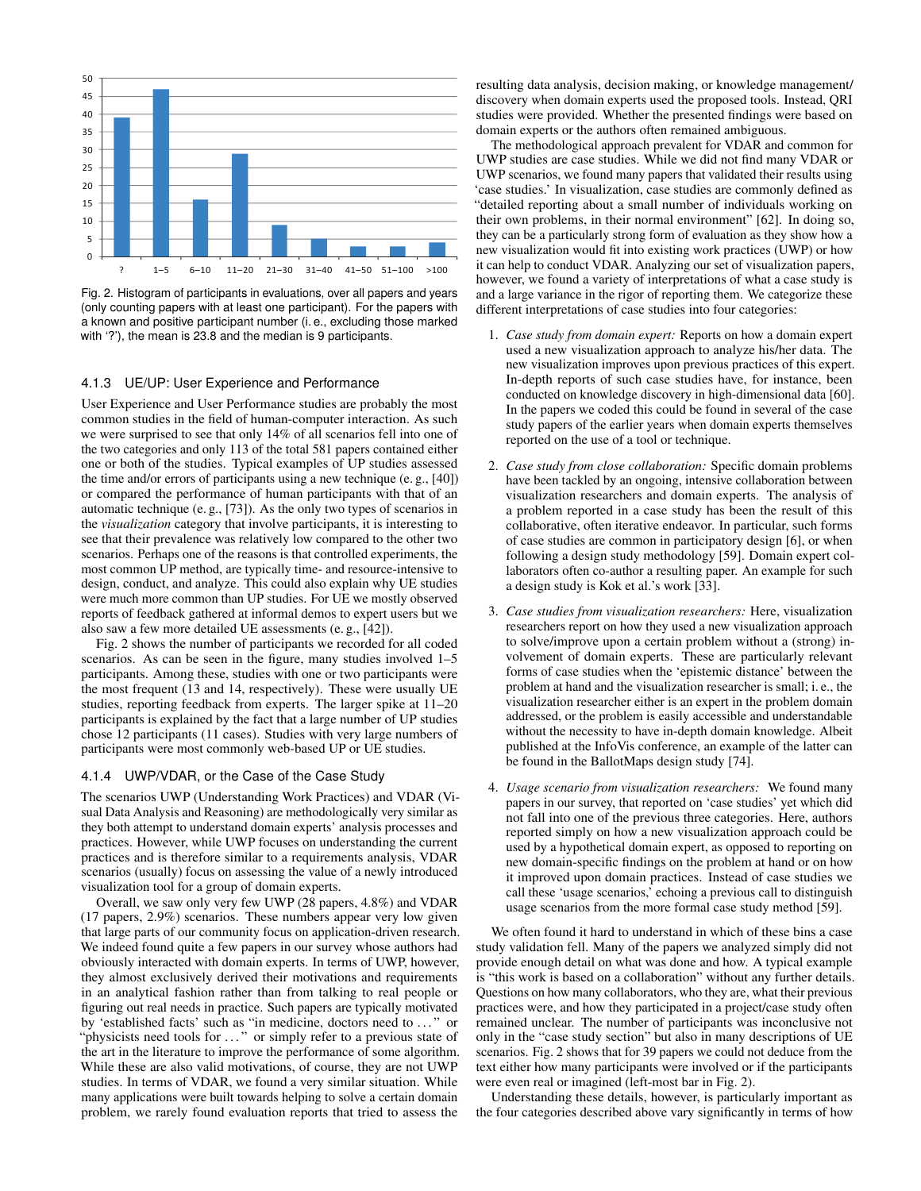

<span id="page-4-0"></span>Fig. 2. Histogram of participants in evaluations, over all papers and years (only counting papers with at least one participant). For the papers with a known and positive participant number (i. e., excluding those marked with '?'), the mean is 23.8 and the median is 9 participants.

## 4.1.3 UE/UP: User Experience and Performance

User Experience and User Performance studies are probably the most common studies in the field of human-computer interaction. As such we were surprised to see that only 14% of all scenarios fell into one of the two categories and only 113 of the total 581 papers contained either one or both of the studies. Typical examples of UP studies assessed the time and/or errors of participants using a new technique (e. g., [\[40\]](#page-9-29)) or compared the performance of human participants with that of an automatic technique (e. g., [\[73\]](#page-9-30)). As the only two types of scenarios in the *visualization* category that involve participants, it is interesting to see that their prevalence was relatively low compared to the other two scenarios. Perhaps one of the reasons is that controlled experiments, the most common UP method, are typically time- and resource-intensive to design, conduct, and analyze. This could also explain why UE studies were much more common than UP studies. For UE we mostly observed reports of feedback gathered at informal demos to expert users but we also saw a few more detailed UE assessments (e. g., [\[42\]](#page-9-31)).

[Fig. 2](#page-4-0) shows the number of participants we recorded for all coded scenarios. As can be seen in the figure, many studies involved 1–5 participants. Among these, studies with one or two participants were the most frequent (13 and 14, respectively). These were usually UE studies, reporting feedback from experts. The larger spike at 11–20 participants is explained by the fact that a large number of UP studies chose 12 participants (11 cases). Studies with very large numbers of participants were most commonly web-based UP or UE studies.

#### <span id="page-4-1"></span>4.1.4 UWP/VDAR, or the Case of the Case Study

The scenarios UWP (Understanding Work Practices) and VDAR (Visual Data Analysis and Reasoning) are methodologically very similar as they both attempt to understand domain experts' analysis processes and practices. However, while UWP focuses on understanding the current practices and is therefore similar to a requirements analysis, VDAR scenarios (usually) focus on assessing the value of a newly introduced visualization tool for a group of domain experts.

Overall, we saw only very few UWP (28 papers, 4.8%) and VDAR (17 papers, 2.9%) scenarios. These numbers appear very low given that large parts of our community focus on application-driven research. We indeed found quite a few papers in our survey whose authors had obviously interacted with domain experts. In terms of UWP, however, they almost exclusively derived their motivations and requirements in an analytical fashion rather than from talking to real people or figuring out real needs in practice. Such papers are typically motivated by 'established facts' such as "in medicine, doctors need to . . . " or "physicists need tools for . . . " or simply refer to a previous state of the art in the literature to improve the performance of some algorithm. While these are also valid motivations, of course, they are not UWP studies. In terms of VDAR, we found a very similar situation. While many applications were built towards helping to solve a certain domain problem, we rarely found evaluation reports that tried to assess the

resulting data analysis, decision making, or knowledge management/ discovery when domain experts used the proposed tools. Instead, QRI studies were provided. Whether the presented findings were based on domain experts or the authors often remained ambiguous.

The methodological approach prevalent for VDAR and common for UWP studies are case studies. While we did not find many VDAR or UWP scenarios, we found many papers that validated their results using 'case studies.' In visualization, case studies are commonly defined as "detailed reporting about a small number of individuals working on their own problems, in their normal environment" [\[62\]](#page-9-19). In doing so, they can be a particularly strong form of evaluation as they show how a new visualization would fit into existing work practices (UWP) or how it can help to conduct VDAR. Analyzing our set of visualization papers, however, we found a variety of interpretations of what a case study is and a large variance in the rigor of reporting them. We categorize these different interpretations of case studies into four categories:

- 1. *Case study from domain expert:* Reports on how a domain expert used a new visualization approach to analyze his/her data. The new visualization improves upon previous practices of this expert. In-depth reports of such case studies have, for instance, been conducted on knowledge discovery in high-dimensional data [\[60\]](#page-9-32). In the papers we coded this could be found in several of the case study papers of the earlier years when domain experts themselves reported on the use of a tool or technique.
- 2. *Case study from close collaboration:* Specific domain problems have been tackled by an ongoing, intensive collaboration between visualization researchers and domain experts. The analysis of a problem reported in a case study has been the result of this collaborative, often iterative endeavor. In particular, such forms of case studies are common in participatory design [\[6\]](#page-8-17), or when following a design study methodology [\[59\]](#page-9-9). Domain expert collaborators often co-author a resulting paper. An example for such a design study is Kok et al.'s work [\[33\]](#page-9-33).
- 3. *Case studies from visualization researchers:* Here, visualization researchers report on how they used a new visualization approach to solve/improve upon a certain problem without a (strong) involvement of domain experts. These are particularly relevant forms of case studies when the 'epistemic distance' between the problem at hand and the visualization researcher is small; i. e., the visualization researcher either is an expert in the problem domain addressed, or the problem is easily accessible and understandable without the necessity to have in-depth domain knowledge. Albeit published at the InfoVis conference, an example of the latter can be found in the BallotMaps design study [\[74\]](#page-9-34).
- 4. *Usage scenario from visualization researchers:* We found many papers in our survey, that reported on 'case studies' yet which did not fall into one of the previous three categories. Here, authors reported simply on how a new visualization approach could be used by a hypothetical domain expert, as opposed to reporting on new domain-specific findings on the problem at hand or on how it improved upon domain practices. Instead of case studies we call these 'usage scenarios,' echoing a previous call to distinguish usage scenarios from the more formal case study method [\[59\]](#page-9-9).

We often found it hard to understand in which of these bins a case study validation fell. Many of the papers we analyzed simply did not provide enough detail on what was done and how. A typical example is "this work is based on a collaboration" without any further details. Questions on how many collaborators, who they are, what their previous practices were, and how they participated in a project/case study often remained unclear. The number of participants was inconclusive not only in the "case study section" but also in many descriptions of UE scenarios. [Fig. 2](#page-4-0) shows that for 39 papers we could not deduce from the text either how many participants were involved or if the participants were even real or imagined (left-most bar in [Fig. 2\)](#page-4-0).

Understanding these details, however, is particularly important as the four categories described above vary significantly in terms of how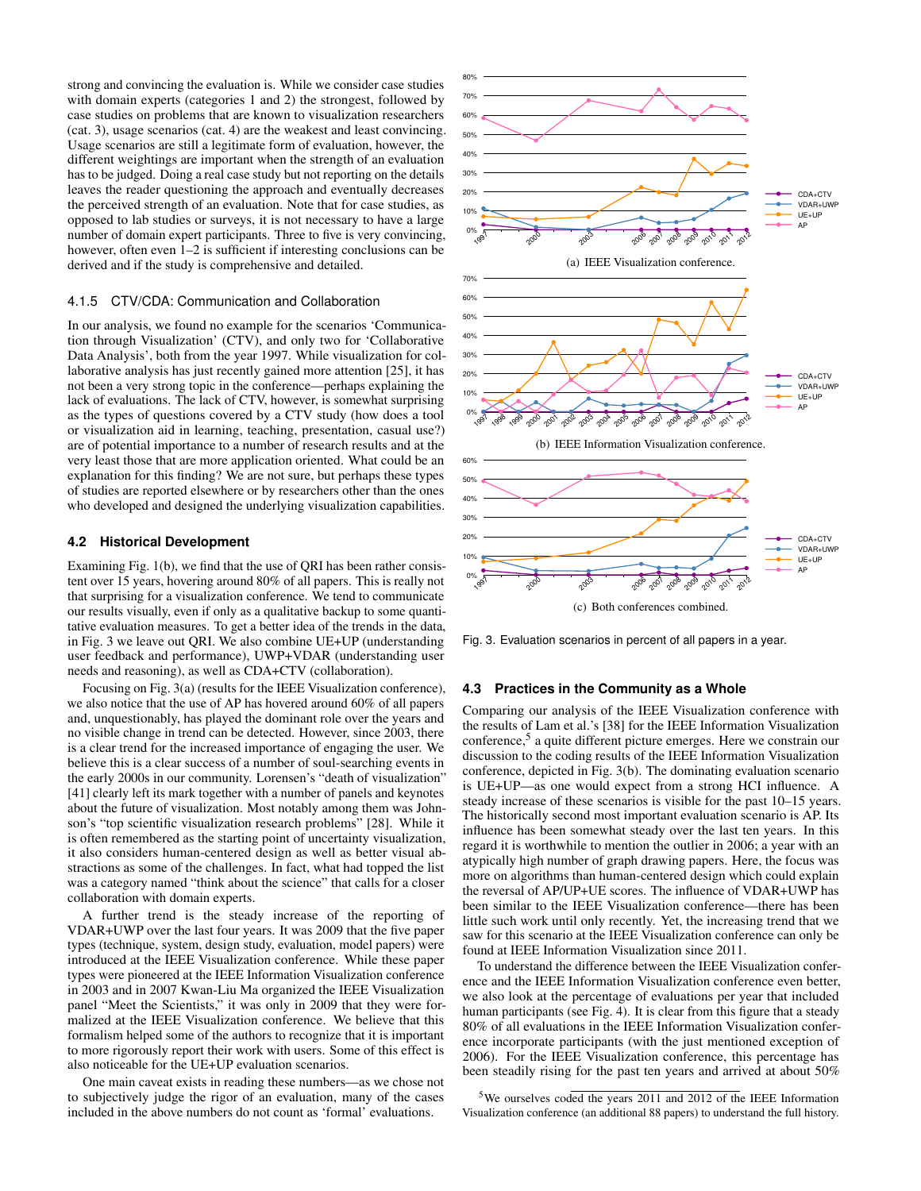strong and convincing the evaluation is. While we consider case studies with domain experts (categories 1 and 2) the strongest, followed by case studies on problems that are known to visualization researchers (cat. 3), usage scenarios (cat. 4) are the weakest and least convincing. Usage scenarios are still a legitimate form of evaluation, however, the different weightings are important when the strength of an evaluation has to be judged. Doing a real case study but not reporting on the details leaves the reader questioning the approach and eventually decreases the perceived strength of an evaluation. Note that for case studies, as opposed to lab studies or surveys, it is not necessary to have a large number of domain expert participants. Three to five is very convincing, however, often even  $1-2$  is sufficient if interesting conclusions can be derived and if the study is comprehensive and detailed.

#### 4.1.5 CTV/CDA: Communication and Collaboration

In our analysis, we found no example for the scenarios 'Communication through Visualization' (CTV), and only two for 'Collaborative Data Analysis', both from the year 1997. While visualization for collaborative analysis has just recently gained more attention [\[25\]](#page-8-18), it has not been a very strong topic in the conference—perhaps explaining the lack of evaluations. The lack of CTV, however, is somewhat surprising as the types of questions covered by a CTV study (how does a tool or visualization aid in learning, teaching, presentation, casual use?) are of potential importance to a number of research results and at the very least those that are more application oriented. What could be an explanation for this finding? We are not sure, but perhaps these types of studies are reported elsewhere or by researchers other than the ones who developed and designed the underlying visualization capabilities.

#### **4.2 Historical Development**

Examining [Fig. 1\(b\),](#page-3-1) we find that the use of QRI has been rather consistent over 15 years, hovering around 80% of all papers. This is really not that surprising for a visualization conference. We tend to communicate our results visually, even if only as a qualitative backup to some quantitative evaluation measures. To get a better idea of the trends in the data, in [Fig. 3](#page-5-0) we leave out QRI. We also combine UE+UP (understanding user feedback and performance), UWP+VDAR (understanding user needs and reasoning), as well as CDA+CTV (collaboration).

Focusing on [Fig. 3\(a\)](#page-5-1) (results for the IEEE Visualization conference), we also notice that the use of AP has hovered around 60% of all papers and, unquestionably, has played the dominant role over the years and no visible change in trend can be detected. However, since 2003, there is a clear trend for the increased importance of engaging the user. We believe this is a clear success of a number of soul-searching events in the early 2000s in our community. Lorensen's "death of visualization" [\[41\]](#page-9-35) clearly left its mark together with a number of panels and keynotes about the future of visualization. Most notably among them was Johnson's "top scientific visualization research problems" [\[28\]](#page-8-19). While it is often remembered as the starting point of uncertainty visualization, it also considers human-centered design as well as better visual abstractions as some of the challenges. In fact, what had topped the list was a category named "think about the science" that calls for a closer collaboration with domain experts.

A further trend is the steady increase of the reporting of VDAR+UWP over the last four years. It was 2009 that the five paper types (technique, system, design study, evaluation, model papers) were introduced at the IEEE Visualization conference. While these paper types were pioneered at the IEEE Information Visualization conference in 2003 and in 2007 Kwan-Liu Ma organized the IEEE Visualization panel "Meet the Scientists," it was only in 2009 that they were formalized at the IEEE Visualization conference. We believe that this formalism helped some of the authors to recognize that it is important to more rigorously report their work with users. Some of this effect is also noticeable for the UE+UP evaluation scenarios.

One main caveat exists in reading these numbers—as we chose not to subjectively judge the rigor of an evaluation, many of the cases included in the above numbers do not count as 'formal' evaluations.

<span id="page-5-3"></span><span id="page-5-1"></span>

<span id="page-5-4"></span><span id="page-5-0"></span>Fig. 3. Evaluation scenarios in percent of all papers in a year.

#### **4.3 Practices in the Community as a Whole**

Comparing our analysis of the IEEE Visualization conference with the results of Lam et al.'s [\[38\]](#page-9-0) for the IEEE Information Visualization conference,<sup>[5](#page-5-2)</sup> a quite different picture emerges. Here we constrain our discussion to the coding results of the IEEE Information Visualization conference, depicted in [Fig. 3\(b\).](#page-5-3) The dominating evaluation scenario is UE+UP—as one would expect from a strong HCI influence. A steady increase of these scenarios is visible for the past 10–15 years. The historically second most important evaluation scenario is AP. Its influence has been somewhat steady over the last ten years. In this regard it is worthwhile to mention the outlier in 2006; a year with an atypically high number of graph drawing papers. Here, the focus was more on algorithms than human-centered design which could explain the reversal of AP/UP+UE scores. The influence of VDAR+UWP has been similar to the IEEE Visualization conference—there has been little such work until only recently. Yet, the increasing trend that we saw for this scenario at the IEEE Visualization conference can only be found at IEEE Information Visualization since 2011.

To understand the difference between the IEEE Visualization conference and the IEEE Information Visualization conference even better, we also look at the percentage of evaluations per year that included human participants (see [Fig. 4\)](#page-6-0). It is clear from this figure that a steady 80% of all evaluations in the IEEE Information Visualization conference incorporate participants (with the just mentioned exception of 2006). For the IEEE Visualization conference, this percentage has been steadily rising for the past ten years and arrived at about 50%

<span id="page-5-2"></span><sup>5</sup>We ourselves coded the years 2011 and 2012 of the IEEE Information Visualization conference (an additional 88 papers) to understand the full history.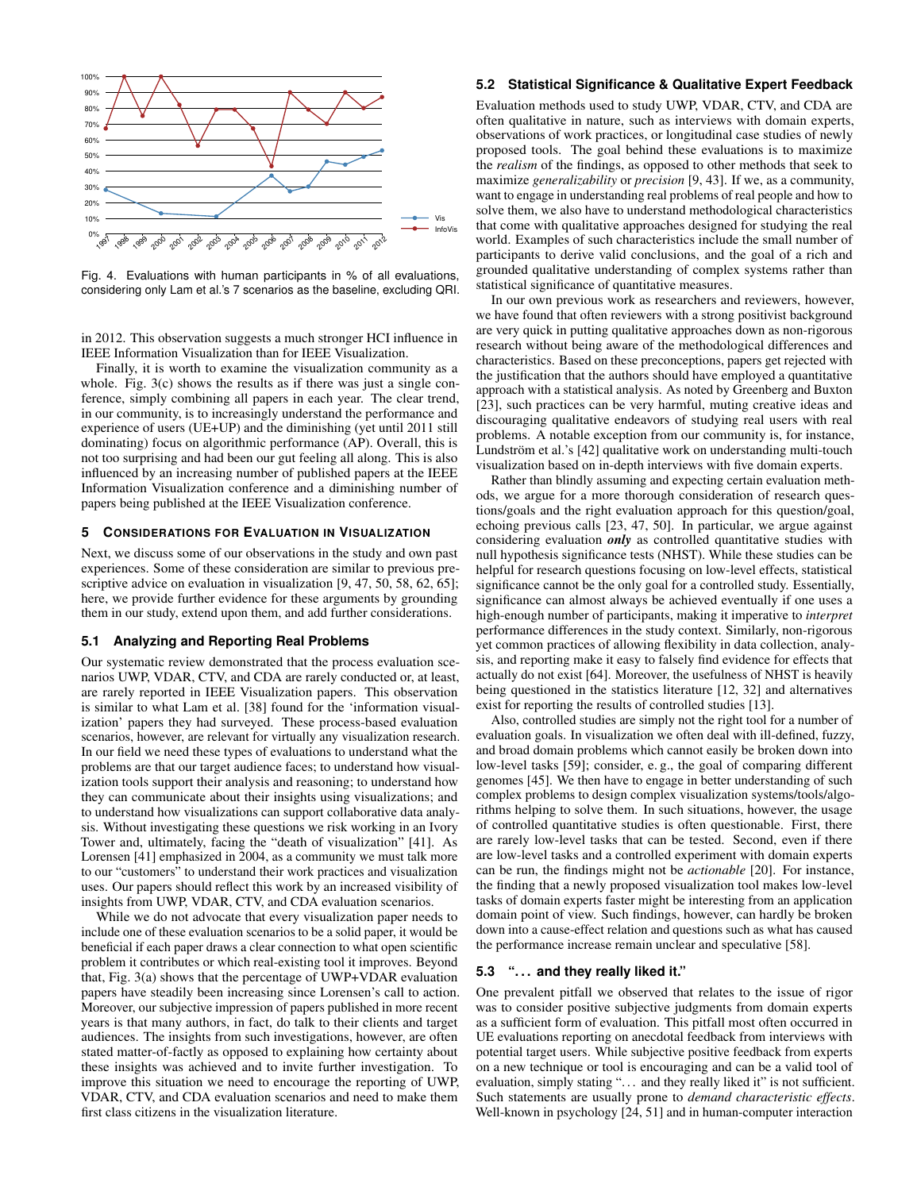

<span id="page-6-0"></span>Fig. 4. Evaluations with human participants in % of all evaluations, considering only Lam et al.'s 7 scenarios as the baseline, excluding QRI.

in 2012. This observation suggests a much stronger HCI influence in IEEE Information Visualization than for IEEE Visualization.

Finally, it is worth to examine the visualization community as a whole. [Fig. 3\(c\)](#page-5-4) shows the results as if there was just a single conference, simply combining all papers in each year. The clear trend, in our community, is to increasingly understand the performance and experience of users (UE+UP) and the diminishing (yet until 2011 still dominating) focus on algorithmic performance (AP). Overall, this is not too surprising and had been our gut feeling all along. This is also influenced by an increasing number of published papers at the IEEE Information Visualization conference and a diminishing number of papers being published at the IEEE Visualization conference.

#### <span id="page-6-2"></span>**5 CONSIDERATIONS FOR EVALUATION IN VISUALIZATION**

Next, we discuss some of our observations in the study and own past experiences. Some of these consideration are similar to previous pre-scriptive advice on evaluation in visualization [\[9,](#page-8-5) [47,](#page-9-7) [50,](#page-9-6) [58,](#page-9-36) [62,](#page-9-19) [65\]](#page-9-8); here, we provide further evidence for these arguments by grounding them in our study, extend upon them, and add further considerations.

#### **5.1 Analyzing and Reporting Real Problems**

Our systematic review demonstrated that the process evaluation scenarios UWP, VDAR, CTV, and CDA are rarely conducted or, at least, are rarely reported in IEEE Visualization papers. This observation is similar to what Lam et al. [\[38\]](#page-9-0) found for the 'information visualization' papers they had surveyed. These process-based evaluation scenarios, however, are relevant for virtually any visualization research. In our field we need these types of evaluations to understand what the problems are that our target audience faces; to understand how visualization tools support their analysis and reasoning; to understand how they can communicate about their insights using visualizations; and to understand how visualizations can support collaborative data analysis. Without investigating these questions we risk working in an Ivory Tower and, ultimately, facing the "death of visualization" [\[41\]](#page-9-35). As Lorensen [\[41\]](#page-9-35) emphasized in 2004, as a community we must talk more to our "customers" to understand their work practices and visualization uses. Our papers should reflect this work by an increased visibility of insights from UWP, VDAR, CTV, and CDA evaluation scenarios.

While we do not advocate that every visualization paper needs to include one of these evaluation scenarios to be a solid paper, it would be beneficial if each paper draws a clear connection to what open scientific problem it contributes or which real-existing tool it improves. Beyond that, [Fig. 3\(a\)](#page-5-1) shows that the percentage of UWP+VDAR evaluation papers have steadily been increasing since Lorensen's call to action. Moreover, our subjective impression of papers published in more recent years is that many authors, in fact, do talk to their clients and target audiences. The insights from such investigations, however, are often stated matter-of-factly as opposed to explaining how certainty about these insights was achieved and to invite further investigation. To improve this situation we need to encourage the reporting of UWP, VDAR, CTV, and CDA evaluation scenarios and need to make them first class citizens in the visualization literature.

# <span id="page-6-1"></span>**5.2 Statistical Significance & Qualitative Expert Feedback**

Evaluation methods used to study UWP, VDAR, CTV, and CDA are often qualitative in nature, such as interviews with domain experts, observations of work practices, or longitudinal case studies of newly proposed tools. The goal behind these evaluations is to maximize the *realism* of the findings, as opposed to other methods that seek to maximize *generalizability* or *precision* [\[9,](#page-8-5) [43\]](#page-9-37). If we, as a community, want to engage in understanding real problems of real people and how to solve them, we also have to understand methodological characteristics that come with qualitative approaches designed for studying the real world. Examples of such characteristics include the small number of participants to derive valid conclusions, and the goal of a rich and grounded qualitative understanding of complex systems rather than statistical significance of quantitative measures.

In our own previous work as researchers and reviewers, however, we have found that often reviewers with a strong positivist background are very quick in putting qualitative approaches down as non-rigorous research without being aware of the methodological differences and characteristics. Based on these preconceptions, papers get rejected with the justification that the authors should have employed a quantitative approach with a statistical analysis. As noted by Greenberg and Buxton [\[23\]](#page-8-6), such practices can be very harmful, muting creative ideas and discouraging qualitative endeavors of studying real users with real problems. A notable exception from our community is, for instance, Lundström et al.'s [[42\]](#page-9-31) qualitative work on understanding multi-touch visualization based on in-depth interviews with five domain experts.

Rather than blindly assuming and expecting certain evaluation methods, we argue for a more thorough consideration of research questions/goals and the right evaluation approach for this question/goal, echoing previous calls [\[23,](#page-8-6) [47,](#page-9-7) [50\]](#page-9-6). In particular, we argue against considering evaluation *only* as controlled quantitative studies with null hypothesis significance tests (NHST). While these studies can be helpful for research questions focusing on low-level effects, statistical significance cannot be the only goal for a controlled study. Essentially, significance can almost always be achieved eventually if one uses a high-enough number of participants, making it imperative to *interpret* performance differences in the study context. Similarly, non-rigorous yet common practices of allowing flexibility in data collection, analysis, and reporting make it easy to falsely find evidence for effects that actually do not exist [\[64\]](#page-9-38). Moreover, the usefulness of NHST is heavily being questioned in the statistics literature [\[12,](#page-8-20) [32\]](#page-9-39) and alternatives exist for reporting the results of controlled studies [\[13\]](#page-8-21).

Also, controlled studies are simply not the right tool for a number of evaluation goals. In visualization we often deal with ill-defined, fuzzy, and broad domain problems which cannot easily be broken down into low-level tasks [\[59\]](#page-9-9); consider, e. g., the goal of comparing different genomes [\[45\]](#page-9-40). We then have to engage in better understanding of such complex problems to design complex visualization systems/tools/algorithms helping to solve them. In such situations, however, the usage of controlled quantitative studies is often questionable. First, there are rarely low-level tasks that can be tested. Second, even if there are low-level tasks and a controlled experiment with domain experts can be run, the findings might not be *actionable* [\[20\]](#page-8-22). For instance, the finding that a newly proposed visualization tool makes low-level tasks of domain experts faster might be interesting from an application domain point of view. Such findings, however, can hardly be broken down into a cause-effect relation and questions such as what has caused the performance increase remain unclear and speculative [\[58\]](#page-9-36).

#### **5.3 ". . . and they really liked it."**

One prevalent pitfall we observed that relates to the issue of rigor was to consider positive subjective judgments from domain experts as a sufficient form of evaluation. This pitfall most often occurred in UE evaluations reporting on anecdotal feedback from interviews with potential target users. While subjective positive feedback from experts on a new technique or tool is encouraging and can be a valid tool of evaluation, simply stating "... and they really liked it" is not sufficient. Such statements are usually prone to *demand characteristic effects*. Well-known in psychology [\[24,](#page-8-23) [51\]](#page-9-41) and in human-computer interaction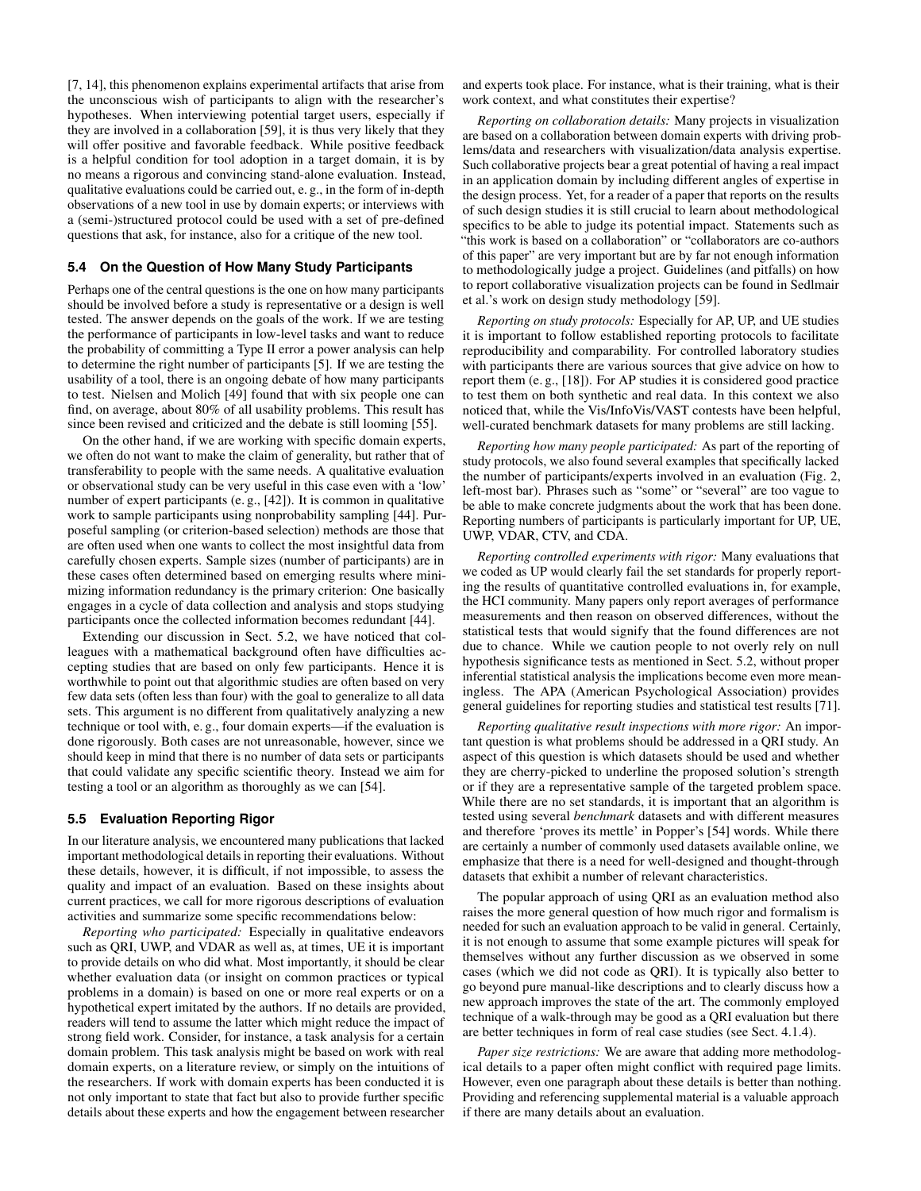[\[7,](#page-8-24) [14\]](#page-8-25), this phenomenon explains experimental artifacts that arise from the unconscious wish of participants to align with the researcher's hypotheses. When interviewing potential target users, especially if they are involved in a collaboration [\[59\]](#page-9-9), it is thus very likely that they will offer positive and favorable feedback. While positive feedback is a helpful condition for tool adoption in a target domain, it is by no means a rigorous and convincing stand-alone evaluation. Instead, qualitative evaluations could be carried out, e. g., in the form of in-depth observations of a new tool in use by domain experts; or interviews with a (semi-)structured protocol could be used with a set of pre-defined questions that ask, for instance, also for a critique of the new tool.

## **5.4 On the Question of How Many Study Participants**

Perhaps one of the central questions is the one on how many participants should be involved before a study is representative or a design is well tested. The answer depends on the goals of the work. If we are testing the performance of participants in low-level tasks and want to reduce the probability of committing a Type II error a power analysis can help to determine the right number of participants [\[5\]](#page-8-26). If we are testing the usability of a tool, there is an ongoing debate of how many participants to test. Nielsen and Molich [\[49\]](#page-9-42) found that with six people one can find, on average, about 80% of all usability problems. This result has since been revised and criticized and the debate is still looming [\[55\]](#page-9-43).

On the other hand, if we are working with specific domain experts, we often do not want to make the claim of generality, but rather that of transferability to people with the same needs. A qualitative evaluation or observational study can be very useful in this case even with a 'low' number of expert participants (e. g., [\[42\]](#page-9-31)). It is common in qualitative work to sample participants using nonprobability sampling [\[44\]](#page-9-44). Purposeful sampling (or criterion-based selection) methods are those that are often used when one wants to collect the most insightful data from carefully chosen experts. Sample sizes (number of participants) are in these cases often determined based on emerging results where minimizing information redundancy is the primary criterion: One basically engages in a cycle of data collection and analysis and stops studying participants once the collected information becomes redundant [\[44\]](#page-9-44).

Extending our discussion in [Sect. 5.2,](#page-6-1) we have noticed that colleagues with a mathematical background often have difficulties accepting studies that are based on only few participants. Hence it is worthwhile to point out that algorithmic studies are often based on very few data sets (often less than four) with the goal to generalize to all data sets. This argument is no different from qualitatively analyzing a new technique or tool with, e. g., four domain experts—if the evaluation is done rigorously. Both cases are not unreasonable, however, since we should keep in mind that there is no number of data sets or participants that could validate any specific scientific theory. Instead we aim for testing a tool or an algorithm as thoroughly as we can [\[54\]](#page-9-1).

## **5.5 Evaluation Reporting Rigor**

In our literature analysis, we encountered many publications that lacked important methodological details in reporting their evaluations. Without these details, however, it is difficult, if not impossible, to assess the quality and impact of an evaluation. Based on these insights about current practices, we call for more rigorous descriptions of evaluation activities and summarize some specific recommendations below:

*Reporting who participated:* Especially in qualitative endeavors such as QRI, UWP, and VDAR as well as, at times, UE it is important to provide details on who did what. Most importantly, it should be clear whether evaluation data (or insight on common practices or typical problems in a domain) is based on one or more real experts or on a hypothetical expert imitated by the authors. If no details are provided, readers will tend to assume the latter which might reduce the impact of strong field work. Consider, for instance, a task analysis for a certain domain problem. This task analysis might be based on work with real domain experts, on a literature review, or simply on the intuitions of the researchers. If work with domain experts has been conducted it is not only important to state that fact but also to provide further specific details about these experts and how the engagement between researcher and experts took place. For instance, what is their training, what is their work context, and what constitutes their expertise?

*Reporting on collaboration details:* Many projects in visualization are based on a collaboration between domain experts with driving problems/data and researchers with visualization/data analysis expertise. Such collaborative projects bear a great potential of having a real impact in an application domain by including different angles of expertise in the design process. Yet, for a reader of a paper that reports on the results of such design studies it is still crucial to learn about methodological specifics to be able to judge its potential impact. Statements such as "this work is based on a collaboration" or "collaborators are co-authors of this paper" are very important but are by far not enough information to methodologically judge a project. Guidelines (and pitfalls) on how to report collaborative visualization projects can be found in Sedlmair et al.'s work on design study methodology [\[59\]](#page-9-9).

*Reporting on study protocols:* Especially for AP, UP, and UE studies it is important to follow established reporting protocols to facilitate reproducibility and comparability. For controlled laboratory studies with participants there are various sources that give advice on how to report them (e. g., [\[18\]](#page-8-27)). For AP studies it is considered good practice to test them on both synthetic and real data. In this context we also noticed that, while the Vis/InfoVis/VAST contests have been helpful, well-curated benchmark datasets for many problems are still lacking.

*Reporting how many people participated:* As part of the reporting of study protocols, we also found several examples that specifically lacked the number of participants/experts involved in an evaluation [\(Fig. 2,](#page-4-0) left-most bar). Phrases such as "some" or "several" are too vague to be able to make concrete judgments about the work that has been done. Reporting numbers of participants is particularly important for UP, UE, UWP, VDAR, CTV, and CDA.

*Reporting controlled experiments with rigor:* Many evaluations that we coded as UP would clearly fail the set standards for properly reporting the results of quantitative controlled evaluations in, for example, the HCI community. Many papers only report averages of performance measurements and then reason on observed differences, without the statistical tests that would signify that the found differences are not due to chance. While we caution people to not overly rely on null hypothesis significance tests as mentioned in [Sect. 5.2,](#page-6-1) without proper inferential statistical analysis the implications become even more meaningless. The APA (American Psychological Association) provides general guidelines for reporting studies and statistical test results [\[71\]](#page-9-45).

*Reporting qualitative result inspections with more rigor:* An important question is what problems should be addressed in a QRI study. An aspect of this question is which datasets should be used and whether they are cherry-picked to underline the proposed solution's strength or if they are a representative sample of the targeted problem space. While there are no set standards, it is important that an algorithm is tested using several *benchmark* datasets and with different measures and therefore 'proves its mettle' in Popper's [\[54\]](#page-9-1) words. While there are certainly a number of commonly used datasets available online, we emphasize that there is a need for well-designed and thought-through datasets that exhibit a number of relevant characteristics.

The popular approach of using QRI as an evaluation method also raises the more general question of how much rigor and formalism is needed for such an evaluation approach to be valid in general. Certainly, it is not enough to assume that some example pictures will speak for themselves without any further discussion as we observed in some cases (which we did not code as QRI). It is typically also better to go beyond pure manual-like descriptions and to clearly discuss how a new approach improves the state of the art. The commonly employed technique of a walk-through may be good as a QRI evaluation but there are better techniques in form of real case studies (see [Sect. 4.1.4\)](#page-4-1).

*Paper size restrictions:* We are aware that adding more methodological details to a paper often might conflict with required page limits. However, even one paragraph about these details is better than nothing. Providing and referencing supplemental material is a valuable approach if there are many details about an evaluation.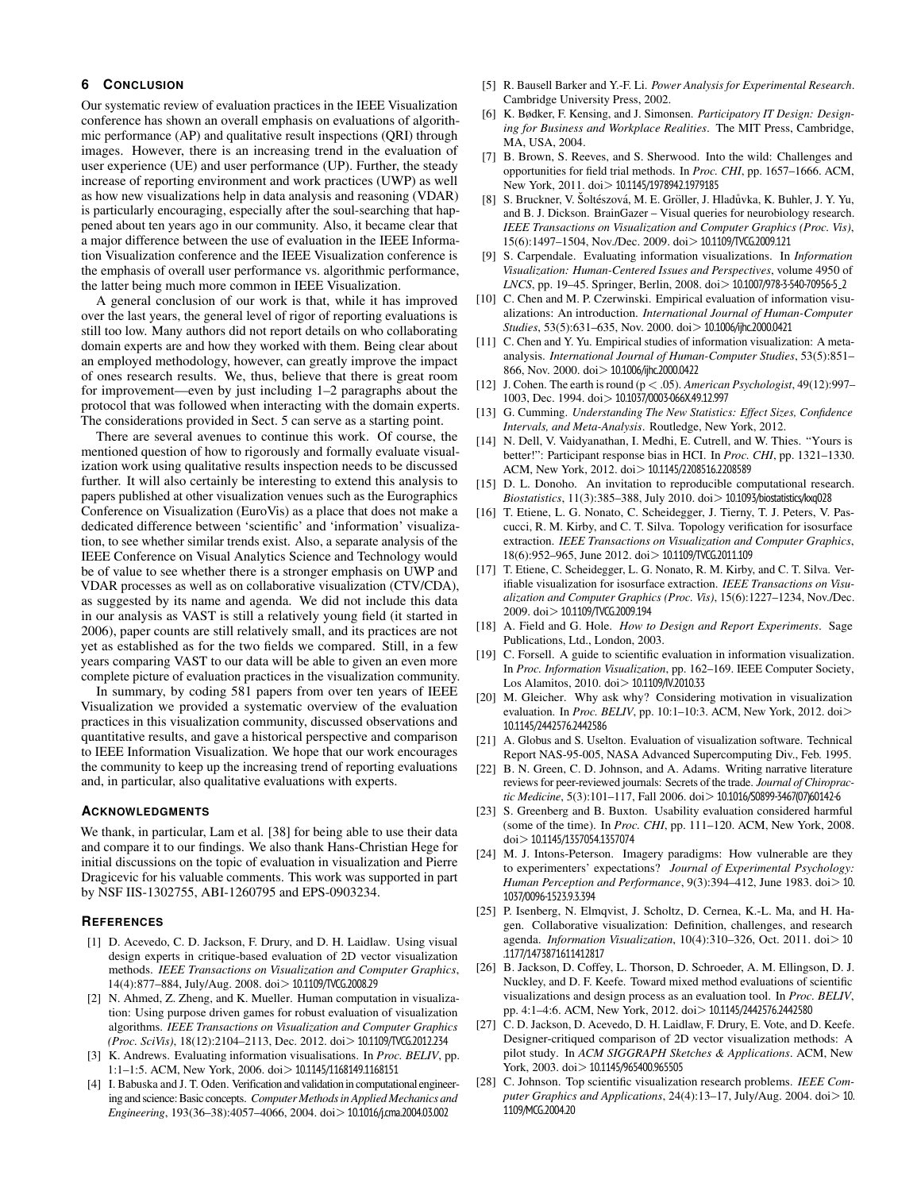# **6 CONCLUSION**

Our systematic review of evaluation practices in the IEEE Visualization conference has shown an overall emphasis on evaluations of algorithmic performance (AP) and qualitative result inspections (QRI) through images. However, there is an increasing trend in the evaluation of user experience (UE) and user performance (UP). Further, the steady increase of reporting environment and work practices (UWP) as well as how new visualizations help in data analysis and reasoning (VDAR) is particularly encouraging, especially after the soul-searching that happened about ten years ago in our community. Also, it became clear that a major difference between the use of evaluation in the IEEE Information Visualization conference and the IEEE Visualization conference is the emphasis of overall user performance vs. algorithmic performance, the latter being much more common in IEEE Visualization.

A general conclusion of our work is that, while it has improved over the last years, the general level of rigor of reporting evaluations is still too low. Many authors did not report details on who collaborating domain experts are and how they worked with them. Being clear about an employed methodology, however, can greatly improve the impact of ones research results. We, thus, believe that there is great room for improvement—even by just including 1–2 paragraphs about the protocol that was followed when interacting with the domain experts. The considerations provided in [Sect. 5](#page-6-2) can serve as a starting point.

There are several avenues to continue this work. Of course, the mentioned question of how to rigorously and formally evaluate visualization work using qualitative results inspection needs to be discussed further. It will also certainly be interesting to extend this analysis to papers published at other visualization venues such as the Eurographics Conference on Visualization (EuroVis) as a place that does not make a dedicated difference between 'scientific' and 'information' visualization, to see whether similar trends exist. Also, a separate analysis of the IEEE Conference on Visual Analytics Science and Technology would be of value to see whether there is a stronger emphasis on UWP and VDAR processes as well as on collaborative visualization (CTV/CDA), as suggested by its name and agenda. We did not include this data in our analysis as VAST is still a relatively young field (it started in 2006), paper counts are still relatively small, and its practices are not yet as established as for the two fields we compared. Still, in a few years comparing VAST to our data will be able to given an even more complete picture of evaluation practices in the visualization community.

In summary, by coding 581 papers from over ten years of IEEE Visualization we provided a systematic overview of the evaluation practices in this visualization community, discussed observations and quantitative results, and gave a historical perspective and comparison to IEEE Information Visualization. We hope that our work encourages the community to keep up the increasing trend of reporting evaluations and, in particular, also qualitative evaluations with experts.

#### **ACKNOWLEDGMENTS**

We thank, in particular, Lam et al. [\[38\]](#page-9-0) for being able to use their data and compare it to our findings. We also thank Hans-Christian Hege for initial discussions on the topic of evaluation in visualization and Pierre Dragicevic for his valuable comments. This work was supported in part by NSF IIS-1302755, ABI-1260795 and EPS-0903234.

#### **REFERENCES**

- <span id="page-8-11"></span>[1] [D. Acevedo, C. D. Jackson, F. Drury, and D. H. Laidlaw. Using visual](http://dx.doi.org/10.1109/TVCG.2008.29) [design experts in critique-based evaluation of 2D vector visualization](http://dx.doi.org/10.1109/TVCG.2008.29) [methods.](http://dx.doi.org/10.1109/TVCG.2008.29) *[IEEE Transactions on Visualization and Computer Graphics](http://dx.doi.org/10.1109/TVCG.2008.29)*, [14\(4\):877–884, July/Aug. 2008.](http://dx.doi.org/10.1109/TVCG.2008.29) doi> [10.1109/TVCG.2008.29](http://dx.doi.org/10.1109/TVCG.2008.29)
- <span id="page-8-14"></span>[2] [N. Ahmed, Z. Zheng, and K. Mueller. Human computation in visualiza](http://dx.doi.org/10.1109/TVCG.2012.234)[tion: Using purpose driven games for robust evaluation of visualization](http://dx.doi.org/10.1109/TVCG.2012.234) [algorithms.](http://dx.doi.org/10.1109/TVCG.2012.234) *[IEEE Transactions on Visualization and Computer Graphics](http://dx.doi.org/10.1109/TVCG.2012.234) [\(Proc. SciVis\)](http://dx.doi.org/10.1109/TVCG.2012.234)*, [18\(12\):2104–2113, Dec. 2012.](http://dx.doi.org/10.1109/TVCG.2012.234) doi> [10.1109/TVCG.2012.234](http://dx.doi.org/10.1109/TVCG.2012.234)
- <span id="page-8-7"></span>[3] [K. Andrews. Evaluating information visualisations.](http://dx.doi.org/10.1145/1168149.1168151) In *[Proc. BELIV](http://dx.doi.org/10.1145/1168149.1168151)*, [pp.](http://dx.doi.org/10.1145/1168149.1168151) [1:1–1:5. ACM, New York, 2006.](http://dx.doi.org/10.1145/1168149.1168151) doi> [10.1145/1168149.1168151](http://dx.doi.org/10.1145/1168149.1168151)
- <span id="page-8-0"></span>[4] [I. Babuska and J. T. Oden.](http://dx.doi.org/10.1016/j.cma.2004.03.002) Verification and validation in computational engineer[ing and science:Basic concepts.](http://dx.doi.org/10.1016/j.cma.2004.03.002) *[Computer Methods in Applied Mechanics and](http://dx.doi.org/10.1016/j.cma.2004.03.002) [Engineering](http://dx.doi.org/10.1016/j.cma.2004.03.002)*, [193\(36–38\):4057–4066, 2004.](http://dx.doi.org/10.1016/j.cma.2004.03.002) doi> [10.1016/j.cma.2004.03.002](http://dx.doi.org/10.1016/j.cma.2004.03.002)
- <span id="page-8-26"></span>[5] [R. Bausell Barker and Y.-F. Li.](http://www.cambridge.org/gb/knowledge/isbn/item5708656/?site_locale=en_GB) *[Power Analysis for Experimental Research](http://www.cambridge.org/gb/knowledge/isbn/item5708656/?site_locale=en_GB)*. [Cambridge University Press, 2002.](http://www.cambridge.org/gb/knowledge/isbn/item5708656/?site_locale=en_GB)
- <span id="page-8-17"></span>[6] [K. Bødker, F. Kensing, and J. Simonsen.](http://mitpress.mit.edu/books/participatory-it-design) *[Participatory IT Design: Design](http://mitpress.mit.edu/books/participatory-it-design)[ing for Business and Workplace Realities](http://mitpress.mit.edu/books/participatory-it-design)*. [The MIT Press, Cambridge,](http://mitpress.mit.edu/books/participatory-it-design) [MA, USA, 2004.](http://mitpress.mit.edu/books/participatory-it-design)
- <span id="page-8-24"></span>[7] [B. Brown, S. Reeves, and S. Sherwood. Into the wild: Challenges and](http://doi.acm.org/10.1145/1978942.1979185) [opportunities for field trial methods.](http://doi.acm.org/10.1145/1978942.1979185) In *[Proc. CHI](http://doi.acm.org/10.1145/1978942.1979185)*, [pp. 1657–1666. ACM,](http://doi.acm.org/10.1145/1978942.1979185) [New York, 2011.](http://doi.acm.org/10.1145/1978942.1979185) doi> [10.1145/1978942.1979185](http://doi.acm.org/10.1145/1978942.1979185)
- <span id="page-8-16"></span>[8] S. Bruckner, V. Šoltészová, M. E. Gröller, J. Hladůvka, K. Buhler, J. Y. Yu, [and B. J. Dickson. BrainGazer – Visual queries for neurobiology research.](http://dx.doi.org/10.1109/TVCG.2009.121) *[IEEE Transactions on Visualization and Computer Graphics \(Proc. Vis\)](http://dx.doi.org/10.1109/TVCG.2009.121)*, [15\(6\):1497–1504, Nov./Dec. 2009.](http://dx.doi.org/10.1109/TVCG.2009.121) doi> [10.1109/TVCG.2009.121](http://dx.doi.org/10.1109/TVCG.2009.121)
- <span id="page-8-5"></span>[9] [S. Carpendale. Evaluating information visualizations.](http://dx.doi.org/10.1007/978-3-540-70956-5_2) In *[Information](http://dx.doi.org/10.1007/978-3-540-70956-5_2) [Visualization: Human-Centered Issues and Perspectives](http://dx.doi.org/10.1007/978-3-540-70956-5_2)*, [volume 4950 of](http://dx.doi.org/10.1007/978-3-540-70956-5_2) *[LNCS](http://dx.doi.org/10.1007/978-3-540-70956-5_2)*, [pp. 19–45. Springer, Berlin, 2008.](http://dx.doi.org/10.1007/978-3-540-70956-5_2) doi> [10.1007/978-3-540-70956-5](http://dx.doi.org/10.1007/978-3-540-70956-5_2) 2
- <span id="page-8-8"></span>[10] [C. Chen and M. P. Czerwinski. Empirical evaluation of information visu](http://dx.doi.org/10.1006/ijhc.2000.0421)[alizations: An introduction.](http://dx.doi.org/10.1006/ijhc.2000.0421) *[International Journal of Human-Computer](http://dx.doi.org/10.1006/ijhc.2000.0421) [Studies](http://dx.doi.org/10.1006/ijhc.2000.0421)*, [53\(5\):631–635, Nov. 2000.](http://dx.doi.org/10.1006/ijhc.2000.0421) doi> [10.1006/ijhc.2000.0421](http://dx.doi.org/10.1006/ijhc.2000.0421)
- <span id="page-8-9"></span>[11] [C. Chen and Y. Yu. Empirical studies of information visualization: A meta](http://dx.doi.org/10.1006/ijhc.2000.0422)[analysis.](http://dx.doi.org/10.1006/ijhc.2000.0422) *[International Journal of Human-Computer Studies](http://dx.doi.org/10.1006/ijhc.2000.0422)*, [53\(5\):851–](http://dx.doi.org/10.1006/ijhc.2000.0422) [866, Nov. 2000.](http://dx.doi.org/10.1006/ijhc.2000.0422) doi> [10.1006/ijhc.2000.0422](http://dx.doi.org/10.1006/ijhc.2000.0422)
- <span id="page-8-20"></span>[12] [J. Cohen. The earth is round \(p](http://dx.doi.org/10.1037/0003-066X.49.12.997) < .05). *[American Psychologist](http://dx.doi.org/10.1037/0003-066X.49.12.997)*, [49\(12\):997–](http://dx.doi.org/10.1037/0003-066X.49.12.997) [1003, Dec. 1994.](http://dx.doi.org/10.1037/0003-066X.49.12.997) doi> [10.1037/0003-066X.49.12.997](http://dx.doi.org/10.1037/0003-066X.49.12.997)
- <span id="page-8-21"></span>[13] [G. Cumming.](http://www.latrobe.edu.au/psy/research/projects/esci) *[Understanding The New Statistics: Effect Sizes, Confidence](http://www.latrobe.edu.au/psy/research/projects/esci) [Intervals, and Meta-Analysis](http://www.latrobe.edu.au/psy/research/projects/esci)*. [Routledge, New York, 2012.](http://www.latrobe.edu.au/psy/research/projects/esci)
- <span id="page-8-25"></span>[14] [N. Dell, V. Vaidyanathan, I. Medhi, E. Cutrell, and W. Thies. "Yours is](http://dx.doi.org/10.1145/2208516.2208589) [better!": Participant response bias in HCI.](http://dx.doi.org/10.1145/2208516.2208589) In *[Proc. CHI](http://dx.doi.org/10.1145/2208516.2208589)*, [pp. 1321–1330.](http://dx.doi.org/10.1145/2208516.2208589) [ACM, New York, 2012.](http://dx.doi.org/10.1145/2208516.2208589) doi> [10.1145/2208516.2208589](http://dx.doi.org/10.1145/2208516.2208589)
- <span id="page-8-2"></span>[15] [D. L. Donoho. An invitation to reproducible computational research.](http://dx.doi.org/10.1093/biostatistics/kxq028) *[Biostatistics](http://dx.doi.org/10.1093/biostatistics/kxq028)*, [11\(3\):385–388, July 2010.](http://dx.doi.org/10.1093/biostatistics/kxq028) doi> [10.1093/biostatistics/kxq028](http://dx.doi.org/10.1093/biostatistics/kxq028)
- <span id="page-8-3"></span>[16] [T. Etiene, L. G. Nonato, C. Scheidegger, J. Tierny, T. J. Peters, V. Pas](http://dx.doi.org/10.1109/TVCG.2011.109)[cucci, R. M. Kirby, and C. T. Silva. Topology verification for isosurface](http://dx.doi.org/10.1109/TVCG.2011.109) [extraction.](http://dx.doi.org/10.1109/TVCG.2011.109) *[IEEE Transactions on Visualization and Computer Graphics](http://dx.doi.org/10.1109/TVCG.2011.109)*, [18\(6\):952–965, June 2012.](http://dx.doi.org/10.1109/TVCG.2011.109) doi> [10.1109/TVCG.2011.109](http://dx.doi.org/10.1109/TVCG.2011.109)
- <span id="page-8-1"></span>[17] [T. Etiene, C. Scheidegger, L. G. Nonato, R. M. Kirby, and C. T. Silva. Ver](http://dx.doi.org/10.1109/TVCG.2009.194)[ifiable visualization for isosurface extraction.](http://dx.doi.org/10.1109/TVCG.2009.194) *[IEEE Transactions on Visu](http://dx.doi.org/10.1109/TVCG.2009.194)[alization and Computer Graphics \(Proc. Vis\)](http://dx.doi.org/10.1109/TVCG.2009.194)*, [15\(6\):1227–1234, Nov./Dec.](http://dx.doi.org/10.1109/TVCG.2009.194) [2009.](http://dx.doi.org/10.1109/TVCG.2009.194) doi> [10.1109/TVCG.2009.194](http://dx.doi.org/10.1109/TVCG.2009.194)
- <span id="page-8-27"></span>[18] [A. Field and G. Hole.](http://www.sagepub.com/books/Book219351) *[How to Design and Report Experiments](http://www.sagepub.com/books/Book219351)*. [Sage](http://www.sagepub.com/books/Book219351) [Publications, Ltd., London, 2003.](http://www.sagepub.com/books/Book219351)
- <span id="page-8-10"></span>[19] [C. Forsell. A guide to scientific evaluation in information visualization.](http://dx.doi.org/10.1109/IV.2010.33) In *[Proc. Information Visualization](http://dx.doi.org/10.1109/IV.2010.33)*, [pp. 162–169. IEEE Computer Society,](http://dx.doi.org/10.1109/IV.2010.33) [Los Alamitos, 2010.](http://dx.doi.org/10.1109/IV.2010.33) doi> [10.1109/IV.2010.33](http://dx.doi.org/10.1109/IV.2010.33)
- <span id="page-8-22"></span>[20] [M. Gleicher. Why ask why? Considering motivation in visualization](http://dx.doi.org/10.1145/2442576.2442586) [evaluation.](http://dx.doi.org/10.1145/2442576.2442586) In *[Proc. BELIV](http://dx.doi.org/10.1145/2442576.2442586)*, [pp. 10:1–10:3. ACM, New York, 2012. doi](http://dx.doi.org/10.1145/2442576.2442586)> [10.1145/2442576.2442586](http://dx.doi.org/10.1145/2442576.2442586)
- <span id="page-8-4"></span>[21] [A. Globus and S. Uselton. Evaluation of visualization software. Technical](http://www.nas.nasa.gov/assets/pdf/techreports/1995/nas-95-005.pdf) [Report NAS-95-005, NASA Advanced Supercomputing Div., Feb. 1995.](http://www.nas.nasa.gov/assets/pdf/techreports/1995/nas-95-005.pdf)
- <span id="page-8-15"></span>[22] [B. N. Green, C. D. Johnson, and A. Adams.](http://dx.doi.org/10.1016/S0899-3467(07)60142-6) [Writing narrative literature](http://dx.doi.org/10.1016/S0899-3467(07)60142-6) [reviews for peer-reviewed journals: Secrets of the trade.](http://dx.doi.org/10.1016/S0899-3467(07)60142-6) *[Journal of Chiroprac](http://dx.doi.org/10.1016/S0899-3467(07)60142-6)[tic Medicine](http://dx.doi.org/10.1016/S0899-3467(07)60142-6)*, [5\(3\):101–117, Fall 2006.](http://dx.doi.org/10.1016/S0899-3467(07)60142-6) doi> [10.1016/S0899-3467\(07\)60142-6](http://dx.doi.org/10.1016/S0899-3467(07)60142-6)
- <span id="page-8-6"></span>[23] [S. Greenberg and B. Buxton. Usability evaluation considered harmful](http://dx.doi.org/10.1145/1357054.1357074) [\(some of the time\).](http://dx.doi.org/10.1145/1357054.1357074) In *[Proc. CHI](http://dx.doi.org/10.1145/1357054.1357074)*, [pp. 111–120. ACM, New York, 2008.](http://dx.doi.org/10.1145/1357054.1357074) doi> [10.1145/1357054.1357074](http://dx.doi.org/10.1145/1357054.1357074)
- <span id="page-8-23"></span>[24] [M. J. Intons-Peterson. Imagery paradigms: How vulnerable are they](http://dx.doi.org/10.1037/0096-1523.9.3.394) [to experimenters' expectations?](http://dx.doi.org/10.1037/0096-1523.9.3.394) *[Journal of Experimental Psychology:](http://dx.doi.org/10.1037/0096-1523.9.3.394) [Human Perception and Performance](http://dx.doi.org/10.1037/0096-1523.9.3.394)*, [9\(3\):394–412, June 1983. doi](http://dx.doi.org/10.1037/0096-1523.9.3.394)> 10. [1037/0096-1523.9.3.394](http://dx.doi.org/10.1037/0096-1523.9.3.394)
- <span id="page-8-18"></span>[25] [P. Isenberg, N. Elmqvist, J. Scholtz, D. Cernea, K.-L. Ma, and H. Ha](http://dx.doi.org/10.1177/1473871611412817)[gen. Collaborative visualization: Definition, challenges, and research](http://dx.doi.org/10.1177/1473871611412817) [agenda.](http://dx.doi.org/10.1177/1473871611412817) *[Information Visualization](http://dx.doi.org/10.1177/1473871611412817)*, [10\(4\):310–326, Oct. 2011. doi](http://dx.doi.org/10.1177/1473871611412817)> 10 [.1177/1473871611412817](http://dx.doi.org/10.1177/1473871611412817)
- <span id="page-8-13"></span>[26] [B. Jackson, D. Coffey, L. Thorson, D. Schroeder, A. M. Ellingson, D. J.](http://dx.doi.org/10.1145/2442576.2442580) [Nuckley, and D. F. Keefe. Toward mixed method evaluations of scientific](http://dx.doi.org/10.1145/2442576.2442580) [visualizations and design process as an evaluation tool.](http://dx.doi.org/10.1145/2442576.2442580) In *[Proc. BELIV](http://dx.doi.org/10.1145/2442576.2442580)*, [pp. 4:1–4:6. ACM, New York, 2012.](http://dx.doi.org/10.1145/2442576.2442580) doi> [10.1145/2442576.2442580](http://dx.doi.org/10.1145/2442576.2442580)
- <span id="page-8-12"></span>[27] [C. D. Jackson, D. Acevedo, D. H. Laidlaw, F. Drury, E. Vote, and D. Keefe.](http://doi.acm.org/10.1145/965400.965505) [Designer-critiqued comparison of 2D vector visualization methods: A](http://doi.acm.org/10.1145/965400.965505) [pilot study.](http://doi.acm.org/10.1145/965400.965505) In *[ACM SIGGRAPH Sketches & Applications](http://doi.acm.org/10.1145/965400.965505)*. [ACM, New](http://doi.acm.org/10.1145/965400.965505) [York, 2003.](http://doi.acm.org/10.1145/965400.965505) doi> [10.1145/965400.965505](http://doi.acm.org/10.1145/965400.965505)
- <span id="page-8-19"></span>[28] [C. Johnson. Top scientific visualization research problems.](http://dx.doi.org/10.1109/MCG.2004.20) *[IEEE Com](http://dx.doi.org/10.1109/MCG.2004.20)[puter Graphics and Applications](http://dx.doi.org/10.1109/MCG.2004.20)*, [24\(4\):13–17, July/Aug. 2004. doi](http://dx.doi.org/10.1109/MCG.2004.20)> 10. [1109/MCG.2004.20](http://dx.doi.org/10.1109/MCG.2004.20)